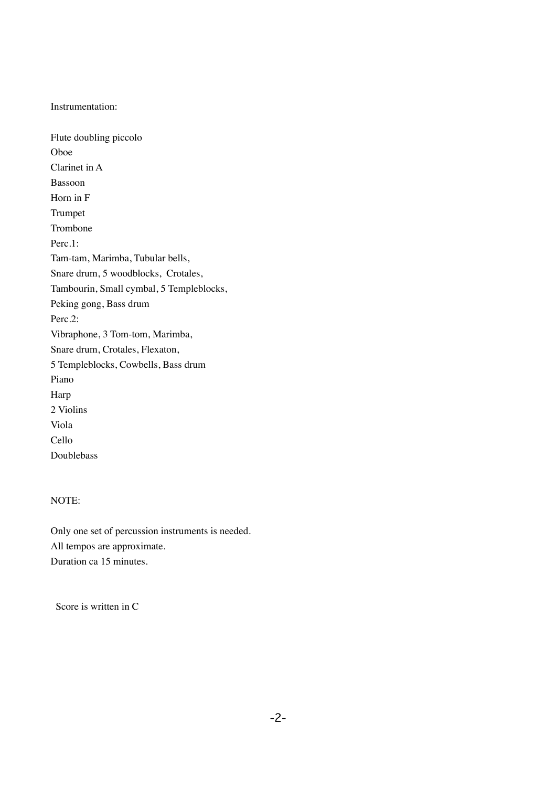Instrumentation:

Flute doubling piccolo Oboe Clarinet in A Bassoon Horn in F Trumpet Trombone Perc.1: Tam-tam, Marimba, Tubular bells, Snare drum, 5 woodblocks, Crotales, Tambourin, Small cymbal, 5 Templeblocks, Peking gong, Bass drum Perc.2: Vibraphone, 3 Tom-tom, Marimba, Snare drum, Crotales, Flexaton, 5 Templeblocks, Cowbells, Bass drum Piano Harp 2 Violins Viola Cello Doublebass

## NOTE:

Only one set of percussion instruments is needed. All tempos are approximate. Duration ca 15 minutes.

Score is written in C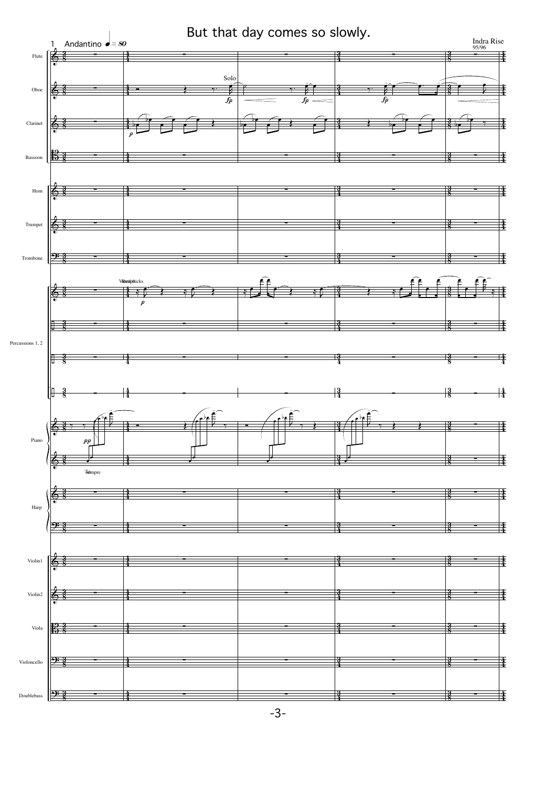

-3-